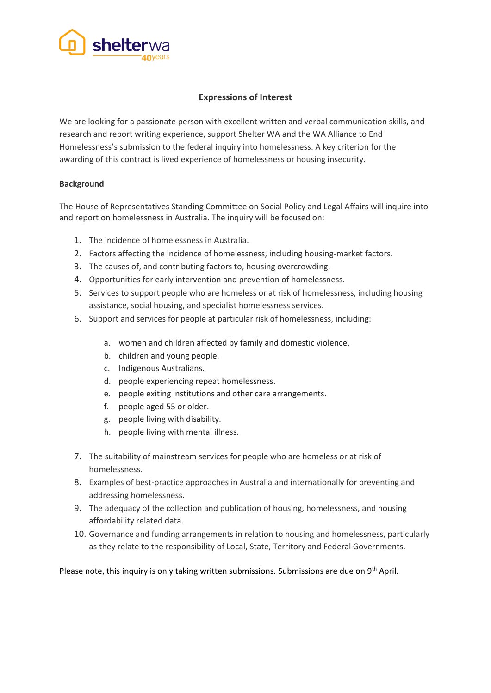

# **Expressions of Interest**

We are looking for a passionate person with excellent written and verbal communication skills, and research and report writing experience, support Shelter WA and the WA Alliance to End Homelessness's submission to the federal inquiry into homelessness. A key criterion for the awarding of this contract is lived experience of homelessness or housing insecurity.

## **Background**

The House of Representatives Standing Committee on Social Policy and Legal Affairs will inquire into and report on homelessness in Australia. The inquiry will be focused on:

- 1. The incidence of homelessness in Australia.
- 2. Factors affecting the incidence of homelessness, including housing-market factors.
- 3. The causes of, and contributing factors to, housing overcrowding.
- 4. Opportunities for early intervention and prevention of homelessness.
- 5. Services to support people who are homeless or at risk of homelessness, including housing assistance, social housing, and specialist homelessness services.
- 6. Support and services for people at particular risk of homelessness, including:
	- a. women and children affected by family and domestic violence.
	- b. children and young people.
	- c. Indigenous Australians.
	- d. people experiencing repeat homelessness.
	- e. people exiting institutions and other care arrangements.
	- f. people aged 55 or older.
	- g. people living with disability.
	- h. people living with mental illness.
- 7. The suitability of mainstream services for people who are homeless or at risk of homelessness.
- 8. Examples of best-practice approaches in Australia and internationally for preventing and addressing homelessness.
- 9. The adequacy of the collection and publication of housing, homelessness, and housing affordability related data.
- 10. Governance and funding arrangements in relation to housing and homelessness, particularly as they relate to the responsibility of Local, State, Territory and Federal Governments.

Please note, this inquiry is only taking written submissions. Submissions are due on  $9<sup>th</sup>$  April.